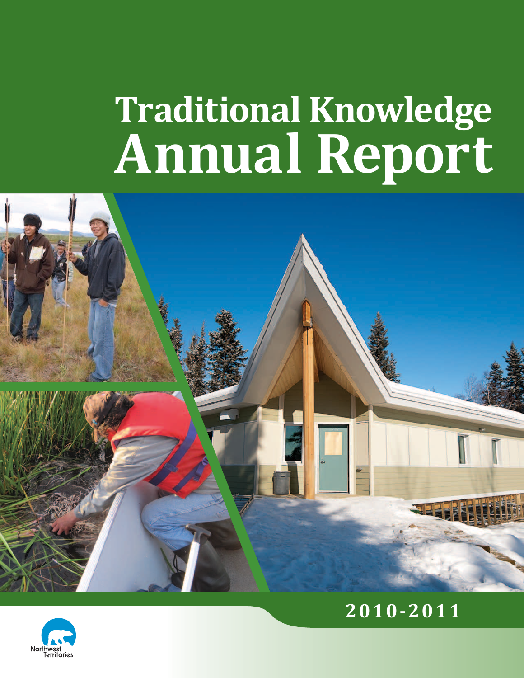## **Traditional Knowledge Annual Report**





## **2010-2011**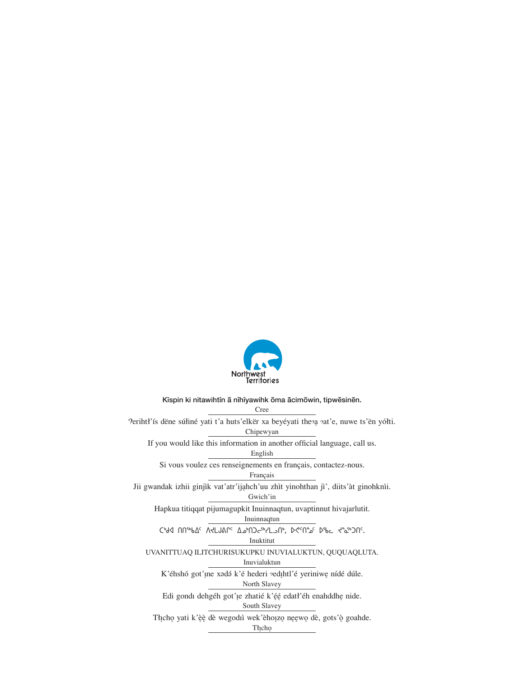

Kispin ki nitawihtin ā nīhīyawihk ōma ācimōwin, tipwēsinēn.

Cree 'lerihtł'ís dëne súłiné yati t'a huts'elkër xa beyéyati theza zat'e, nuwe ts'ën yółti. Chipewyan If you would like this information in another official language, call us. English Si vous voulez ces renseignements en français, contactez-nous. Français Jii gwandak izhii ginjìk vat'atr'ijahch'uu zhìt yinohthan jì', diits'àt ginohknìi. Gwich'in Hapkua titiqqat pijumagupkit Inuinnaqtun, uvaptinnut hivajarlutit. Inuinnaqtun כילת חחייוותר תוכנותור בייום ליירדיון מיכושי כיותר ליביים חר.  $\operatorname{Inuktitut}$ UVANITTUAQ ILITCHURISUKUPKU INUVIALUKTUN, QUQUAQLUTA. Inuvialuktun K'éhshó got'ine xadá k'é hederi vedihtl'é yeriniwe nídé dúle. North Slavey Edi gondi dehgéh got' je zhatié k'éé edati'éh enahddhe nide. South Slavey Thịchọ yati k'èè dè wegodiì wek'èhoịzọ nẹẹwọ dè, gots'ò goahde. Thicho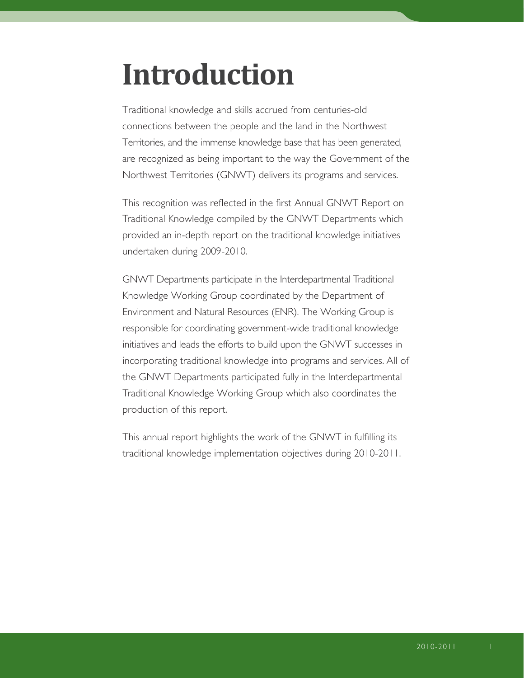## **Introduction**

Traditional knowledge and skills accrued from centuries-old connections between the people and the land in the Northwest Territories, and the immense knowledge base that has been generated, are recognized as being important to the way the Government of the Northwest Territories (GNWT) delivers its programs and services.

This recognition was reflected in the first Annual GNWT Report on Traditional Knowledge compiled by the GNWT Departments which provided an in-depth report on the traditional knowledge initiatives undertaken during 2009-2010.

GNWT Departments participate in the Interdepartmental Traditional Knowledge Working Group coordinated by the Department of Environment and Natural Resources (ENR). The Working Group is responsible for coordinating government-wide traditional knowledge initiatives and leads the efforts to build upon the GNWT successes in incorporating traditional knowledge into programs and services. All of the GNWT Departments participated fully in the Interdepartmental Traditional Knowledge Working Group which also coordinates the production of this report.

This annual report highlights the work of the GNWT in fulfilling its traditional knowledge implementation objectives during 2010-2011.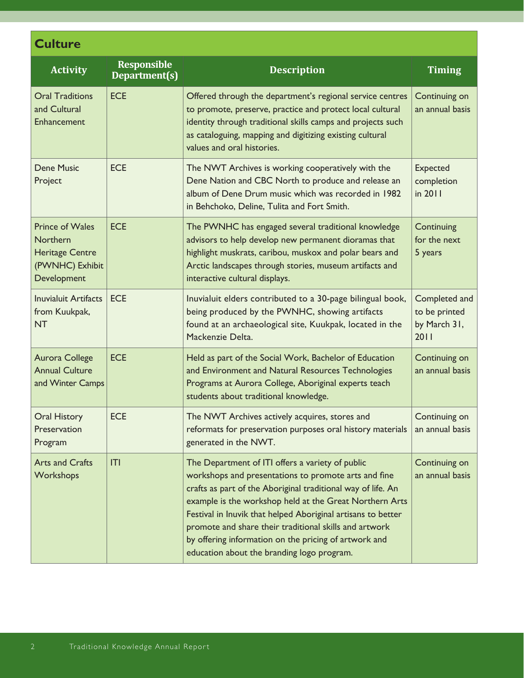| <b>Culture</b>                                                                                        |                                     |                                                                                                                                                                                                                                                                                                                                                                                                                                                                      |                                                        |
|-------------------------------------------------------------------------------------------------------|-------------------------------------|----------------------------------------------------------------------------------------------------------------------------------------------------------------------------------------------------------------------------------------------------------------------------------------------------------------------------------------------------------------------------------------------------------------------------------------------------------------------|--------------------------------------------------------|
| <b>Activity</b>                                                                                       | <b>Responsible</b><br>Department(s) | <b>Description</b>                                                                                                                                                                                                                                                                                                                                                                                                                                                   | <b>Timing</b>                                          |
| <b>Oral Traditions</b><br>and Cultural<br>Enhancement                                                 | <b>ECE</b>                          | Offered through the department's regional service centres<br>to promote, preserve, practice and protect local cultural<br>identity through traditional skills camps and projects such<br>as cataloguing, mapping and digitizing existing cultural<br>values and oral histories.                                                                                                                                                                                      | Continuing on<br>an annual basis                       |
| <b>Dene Music</b><br>Project                                                                          | <b>ECE</b>                          | The NWT Archives is working cooperatively with the<br>Dene Nation and CBC North to produce and release an<br>album of Dene Drum music which was recorded in 1982<br>in Behchoko, Deline, Tulita and Fort Smith.                                                                                                                                                                                                                                                      | <b>Expected</b><br>completion<br>in 2011               |
| <b>Prince of Wales</b><br><b>Northern</b><br><b>Heritage Centre</b><br>(PWNHC) Exhibit<br>Development | <b>ECE</b>                          | The PWNHC has engaged several traditional knowledge<br>advisors to help develop new permanent dioramas that<br>highlight muskrats, caribou, muskox and polar bears and<br>Arctic landscapes through stories, museum artifacts and<br>interactive cultural displays.                                                                                                                                                                                                  | Continuing<br>for the next<br>5 years                  |
| <b>Inuvialuit Artifacts</b><br>from Kuukpak,<br><b>NT</b>                                             | <b>ECE</b>                          | Inuvialuit elders contributed to a 30-page bilingual book,<br>being produced by the PWNHC, showing artifacts<br>found at an archaeological site, Kuukpak, located in the<br>Mackenzie Delta.                                                                                                                                                                                                                                                                         | Completed and<br>to be printed<br>by March 31,<br>2011 |
| Aurora College<br><b>Annual Culture</b><br>and Winter Camps                                           | <b>ECE</b>                          | Held as part of the Social Work, Bachelor of Education<br>and Environment and Natural Resources Technologies<br>Programs at Aurora College, Aboriginal experts teach<br>students about traditional knowledge.                                                                                                                                                                                                                                                        | Continuing on<br>an annual basis                       |
| <b>Oral History</b><br>Preservation<br>Program                                                        | <b>ECE</b>                          | The NWT Archives actively acquires, stores and<br>reformats for preservation purposes oral history materials<br>generated in the NWT.                                                                                                                                                                                                                                                                                                                                | Continuing on<br>an annual basis                       |
| <b>Arts and Crafts</b><br>Workshops                                                                   | T                                   | The Department of ITI offers a variety of public<br>workshops and presentations to promote arts and fine<br>crafts as part of the Aboriginal traditional way of life. An<br>example is the workshop held at the Great Northern Arts<br>Festival in Inuvik that helped Aboriginal artisans to better<br>promote and share their traditional skills and artwork<br>by offering information on the pricing of artwork and<br>education about the branding logo program. | Continuing on<br>an annual basis                       |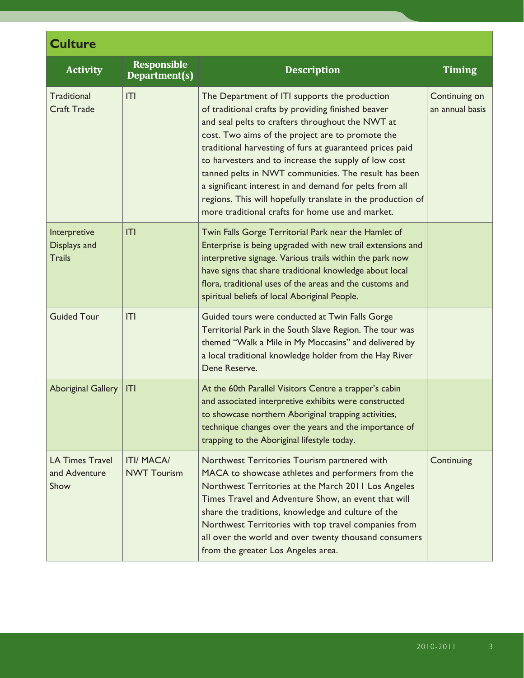| <b>Culture</b>                                  |                                         |                                                                                                                                                                                                                                                                                                                                                                                                                                                                                                                                                                       |                                  |  |
|-------------------------------------------------|-----------------------------------------|-----------------------------------------------------------------------------------------------------------------------------------------------------------------------------------------------------------------------------------------------------------------------------------------------------------------------------------------------------------------------------------------------------------------------------------------------------------------------------------------------------------------------------------------------------------------------|----------------------------------|--|
| <b>Activity</b>                                 | <b>Responsible</b><br>Department(s)     | <b>Description</b>                                                                                                                                                                                                                                                                                                                                                                                                                                                                                                                                                    | <b>Timing</b>                    |  |
| <b>Traditional</b><br><b>Craft Trade</b>        | T                                       | The Department of ITI supports the production<br>of traditional crafts by providing finished beaver<br>and seal pelts to crafters throughout the NWT at<br>cost. Two aims of the project are to promote the<br>traditional harvesting of furs at guaranteed prices paid<br>to harvesters and to increase the supply of low cost<br>tanned pelts in NWT communities. The result has been<br>a significant interest in and demand for pelts from all<br>regions. This will hopefully translate in the production of<br>more traditional crafts for home use and market. | Continuing on<br>an annual basis |  |
| Interpretive<br>Displays and<br><b>Trails</b>   | T                                       | Twin Falls Gorge Territorial Park near the Hamlet of<br>Enterprise is being upgraded with new trail extensions and<br>interpretive signage. Various trails within the park now<br>have signs that share traditional knowledge about local<br>flora, traditional uses of the areas and the customs and<br>spiritual beliefs of local Aboriginal People.                                                                                                                                                                                                                |                                  |  |
| <b>Guided Tour</b>                              | T                                       | Guided tours were conducted at Twin Falls Gorge<br>Territorial Park in the South Slave Region. The tour was<br>themed "Walk a Mile in My Moccasins" and delivered by<br>a local traditional knowledge holder from the Hay River<br>Dene Reserve.                                                                                                                                                                                                                                                                                                                      |                                  |  |
| <b>Aboriginal Gallery</b>                       | ITI                                     | At the 60th Parallel Visitors Centre a trapper's cabin<br>and associated interpretive exhibits were constructed<br>to showcase northern Aboriginal trapping activities,<br>technique changes over the years and the importance of<br>trapping to the Aboriginal lifestyle today.                                                                                                                                                                                                                                                                                      |                                  |  |
| <b>LA Times Travel</b><br>and Adventure<br>Show | <b>ITI/ MACA/</b><br><b>NWT Tourism</b> | Northwest Territories Tourism partnered with<br>MACA to showcase athletes and performers from the<br>Northwest Territories at the March 2011 Los Angeles<br>Times Travel and Adventure Show, an event that will<br>share the traditions, knowledge and culture of the<br>Northwest Territories with top travel companies from<br>all over the world and over twenty thousand consumers<br>from the greater Los Angeles area.                                                                                                                                          | Continuing                       |  |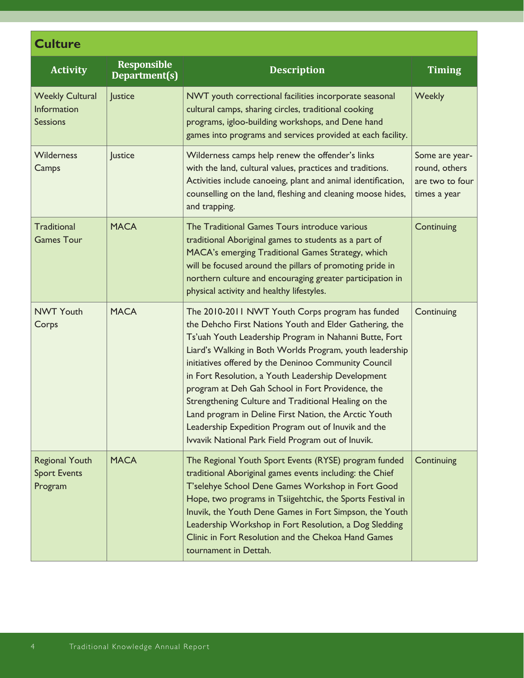| <b>Activity</b>                                                 | <b>Responsible</b><br>Department(s) | <b>Description</b>                                                                                                                                                                                                                                                                                                                                                                                                                                                                                                                                                                                                                 | <b>Timing</b>                                                      |
|-----------------------------------------------------------------|-------------------------------------|------------------------------------------------------------------------------------------------------------------------------------------------------------------------------------------------------------------------------------------------------------------------------------------------------------------------------------------------------------------------------------------------------------------------------------------------------------------------------------------------------------------------------------------------------------------------------------------------------------------------------------|--------------------------------------------------------------------|
| <b>Weekly Cultural</b><br><b>Information</b><br><b>Sessions</b> | Justice                             | NWT youth correctional facilities incorporate seasonal<br>cultural camps, sharing circles, traditional cooking<br>programs, igloo-building workshops, and Dene hand<br>games into programs and services provided at each facility.                                                                                                                                                                                                                                                                                                                                                                                                 | <b>Weekly</b>                                                      |
| Wilderness<br>Camps                                             | Justice                             | Wilderness camps help renew the offender's links<br>with the land, cultural values, practices and traditions.<br>Activities include canoeing, plant and animal identification,<br>counselling on the land, fleshing and cleaning moose hides,<br>and trapping.                                                                                                                                                                                                                                                                                                                                                                     | Some are year-<br>round, others<br>are two to four<br>times a year |
| <b>Traditional</b><br><b>Games Tour</b>                         | <b>MACA</b>                         | The Traditional Games Tours introduce various<br>traditional Aboriginal games to students as a part of<br>MACA's emerging Traditional Games Strategy, which<br>will be focused around the pillars of promoting pride in<br>northern culture and encouraging greater participation in<br>physical activity and healthy lifestyles.                                                                                                                                                                                                                                                                                                  | Continuing                                                         |
| <b>NWT Youth</b><br>Corps                                       | <b>MACA</b>                         | The 2010-2011 NWT Youth Corps program has funded<br>the Dehcho First Nations Youth and Elder Gathering, the<br>Ts'uah Youth Leadership Program in Nahanni Butte, Fort<br>Liard's Walking in Both Worlds Program, youth leadership<br>initiatives offered by the Deninoo Community Council<br>in Fort Resolution, a Youth Leadership Development<br>program at Deh Gah School in Fort Providence, the<br>Strengthening Culture and Traditional Healing on the<br>Land program in Deline First Nation, the Arctic Youth<br>Leadership Expedition Program out of Inuvik and the<br>Ivvavik National Park Field Program out of Inuvik. | Continuing                                                         |
| <b>Regional Youth</b><br><b>Sport Events</b><br>Program         | <b>MACA</b>                         | The Regional Youth Sport Events (RYSE) program funded<br>traditional Aboriginal games events including: the Chief<br>T'selehye School Dene Games Workshop in Fort Good<br>Hope, two programs in Tsiigehtchic, the Sports Festival in<br>Inuvik, the Youth Dene Games in Fort Simpson, the Youth<br>Leadership Workshop in Fort Resolution, a Dog Sledding<br>Clinic in Fort Resolution and the Chekoa Hand Games<br>tournament in Dettah.                                                                                                                                                                                          | Continuing                                                         |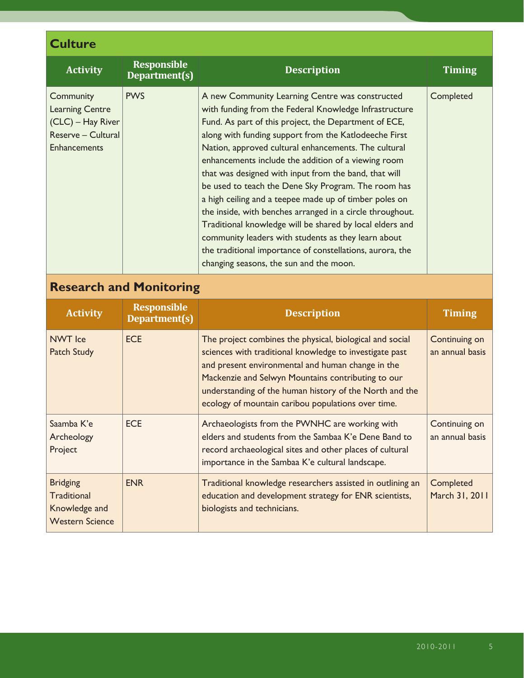| <b>Culture</b>                                                                                        |                                     |                                                                                                                                                                                                                                                                                                                                                                                                                                                                                                                                                                                                                                                                                                                                                                                                              |                                  |  |
|-------------------------------------------------------------------------------------------------------|-------------------------------------|--------------------------------------------------------------------------------------------------------------------------------------------------------------------------------------------------------------------------------------------------------------------------------------------------------------------------------------------------------------------------------------------------------------------------------------------------------------------------------------------------------------------------------------------------------------------------------------------------------------------------------------------------------------------------------------------------------------------------------------------------------------------------------------------------------------|----------------------------------|--|
| <b>Activity</b>                                                                                       | <b>Responsible</b><br>Department(s) | <b>Description</b>                                                                                                                                                                                                                                                                                                                                                                                                                                                                                                                                                                                                                                                                                                                                                                                           | <b>Timing</b>                    |  |
| Community<br><b>Learning Centre</b><br>(CLC) - Hay River<br>Reserve - Cultural<br><b>Enhancements</b> | <b>PWS</b>                          | A new Community Learning Centre was constructed<br>with funding from the Federal Knowledge Infrastructure<br>Fund. As part of this project, the Department of ECE,<br>along with funding support from the Katlodeeche First<br>Nation, approved cultural enhancements. The cultural<br>enhancements include the addition of a viewing room<br>that was designed with input from the band, that will<br>be used to teach the Dene Sky Program. The room has<br>a high ceiling and a teepee made up of timber poles on<br>the inside, with benches arranged in a circle throughout.<br>Traditional knowledge will be shared by local elders and<br>community leaders with students as they learn about<br>the traditional importance of constellations, aurora, the<br>changing seasons, the sun and the moon. | Completed                        |  |
| <b>Research and Monitoring</b>                                                                        |                                     |                                                                                                                                                                                                                                                                                                                                                                                                                                                                                                                                                                                                                                                                                                                                                                                                              |                                  |  |
| <b>Activity</b>                                                                                       | <b>Responsible</b><br>Department(s) | <b>Description</b>                                                                                                                                                                                                                                                                                                                                                                                                                                                                                                                                                                                                                                                                                                                                                                                           | <b>Timing</b>                    |  |
| <b>NWT</b> Ice<br><b>Patch Study</b>                                                                  | <b>ECE</b>                          | The project combines the physical, biological and social<br>sciences with traditional knowledge to investigate past<br>and present environmental and human change in the                                                                                                                                                                                                                                                                                                                                                                                                                                                                                                                                                                                                                                     | Continuing on<br>an annual basis |  |

| <b>IVVVI</b> ICE<br><b>Patch Study</b>                                    | EUE.       | The project combines the physical, biological and social<br>sciences with traditional knowledge to investigate past<br>and present environmental and human change in the<br>Mackenzie and Selwyn Mountains contributing to our<br>understanding of the human history of the North and the<br>ecology of mountain caribou populations over time. | Continuing on<br>an annual basis |
|---------------------------------------------------------------------------|------------|-------------------------------------------------------------------------------------------------------------------------------------------------------------------------------------------------------------------------------------------------------------------------------------------------------------------------------------------------|----------------------------------|
| Saamba K'e<br>Archeology<br>Project                                       | <b>ECE</b> | Archaeologists from the PWNHC are working with<br>elders and students from the Sambaa K'e Dene Band to<br>record archaeological sites and other places of cultural<br>importance in the Sambaa K'e cultural landscape.                                                                                                                          | Continuing on<br>an annual basis |
| <b>Bridging</b><br>Traditional<br>Knowledge and<br><b>Western Science</b> | <b>ENR</b> | Traditional knowledge researchers assisted in outlining an<br>education and development strategy for ENR scientists,<br>biologists and technicians.                                                                                                                                                                                             | Completed<br>March 31, 2011      |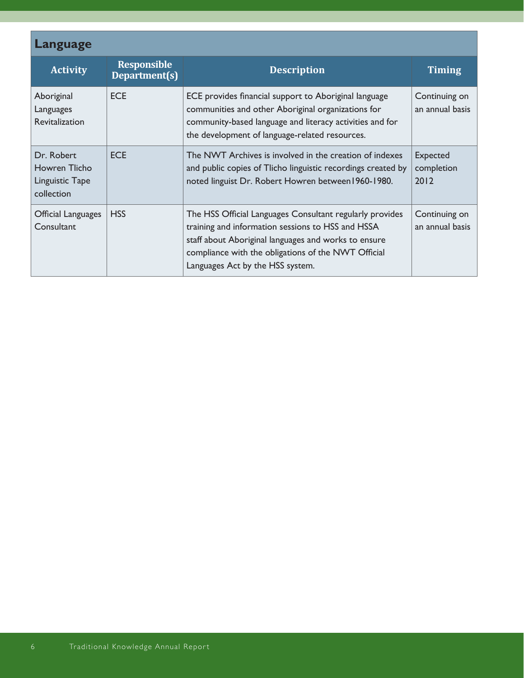| Language                                                     |                                     |                                                                                                                                                                                                                                                                  |                                       |
|--------------------------------------------------------------|-------------------------------------|------------------------------------------------------------------------------------------------------------------------------------------------------------------------------------------------------------------------------------------------------------------|---------------------------------------|
| <b>Activity</b>                                              | <b>Responsible</b><br>Department(s) | <b>Description</b>                                                                                                                                                                                                                                               | <b>Timing</b>                         |
| Aboriginal<br>Languages<br><b>Revitalization</b>             | <b>ECE</b>                          | ECE provides financial support to Aboriginal language<br>communities and other Aboriginal organizations for<br>community-based language and literacy activities and for<br>the development of language-related resources.                                        | Continuing on<br>an annual basis      |
| Dr. Robert<br>Howren Tlicho<br>Linguistic Tape<br>collection | <b>ECE</b>                          | The NWT Archives is involved in the creation of indexes<br>and public copies of Tlicho linguistic recordings created by<br>noted linguist Dr. Robert Howren between 1960-1980.                                                                                   | <b>Expected</b><br>completion<br>2012 |
| Official Languages<br>Consultant                             | <b>HSS</b>                          | The HSS Official Languages Consultant regularly provides<br>training and information sessions to HSS and HSSA<br>staff about Aboriginal languages and works to ensure<br>compliance with the obligations of the NWT Official<br>Languages Act by the HSS system. | Continuing on<br>an annual basis      |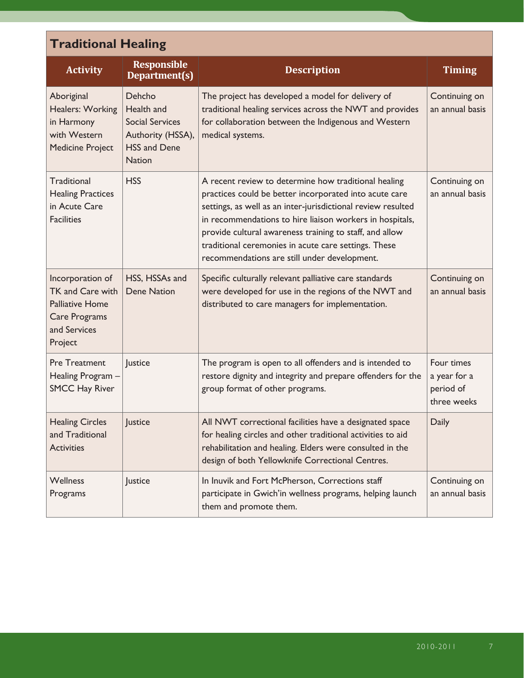| <b>Traditional Healing</b>                                                                                 |                                                                                                             |                                                                                                                                                                                                                                                                                                                                                                                                               |                                                        |  |
|------------------------------------------------------------------------------------------------------------|-------------------------------------------------------------------------------------------------------------|---------------------------------------------------------------------------------------------------------------------------------------------------------------------------------------------------------------------------------------------------------------------------------------------------------------------------------------------------------------------------------------------------------------|--------------------------------------------------------|--|
| <b>Activity</b>                                                                                            | <b>Responsible</b><br>Department(s)                                                                         | <b>Description</b>                                                                                                                                                                                                                                                                                                                                                                                            | <b>Timing</b>                                          |  |
| Aboriginal<br>Healers: Working<br>in Harmony<br>with Western<br><b>Medicine Project</b>                    | Dehcho<br>Health and<br><b>Social Services</b><br>Authority (HSSA),<br><b>HSS and Dene</b><br><b>Nation</b> | The project has developed a model for delivery of<br>traditional healing services across the NWT and provides<br>for collaboration between the Indigenous and Western<br>medical systems.                                                                                                                                                                                                                     | Continuing on<br>an annual basis                       |  |
| Traditional<br><b>Healing Practices</b><br>in Acute Care<br><b>Facilities</b>                              | <b>HSS</b>                                                                                                  | A recent review to determine how traditional healing<br>practices could be better incorporated into acute care<br>settings, as well as an inter-jurisdictional review resulted<br>in recommendations to hire liaison workers in hospitals,<br>provide cultural awareness training to staff, and allow<br>traditional ceremonies in acute care settings. These<br>recommendations are still under development. | Continuing on<br>an annual basis                       |  |
| Incorporation of<br>TK and Care with<br><b>Palliative Home</b><br>Care Programs<br>and Services<br>Project | HSS, HSSAs and<br><b>Dene Nation</b>                                                                        | Specific culturally relevant palliative care standards<br>were developed for use in the regions of the NWT and<br>distributed to care managers for implementation.                                                                                                                                                                                                                                            | Continuing on<br>an annual basis                       |  |
| <b>Pre Treatment</b><br>Healing Program -<br><b>SMCC Hay River</b>                                         | Justice                                                                                                     | The program is open to all offenders and is intended to<br>restore dignity and integrity and prepare offenders for the<br>group format of other programs.                                                                                                                                                                                                                                                     | Four times<br>a year for a<br>period of<br>three weeks |  |
| <b>Healing Circles</b><br>and Traditional<br><b>Activities</b>                                             | Justice                                                                                                     | All NWT correctional facilities have a designated space<br>for healing circles and other traditional activities to aid<br>rehabilitation and healing. Elders were consulted in the<br>design of both Yellowknife Correctional Centres.                                                                                                                                                                        | <b>Daily</b>                                           |  |
| <b>Wellness</b><br>Programs                                                                                | Justice                                                                                                     | In Inuvik and Fort McPherson, Corrections staff<br>participate in Gwich'in wellness programs, helping launch<br>them and promote them.                                                                                                                                                                                                                                                                        | Continuing on<br>an annual basis                       |  |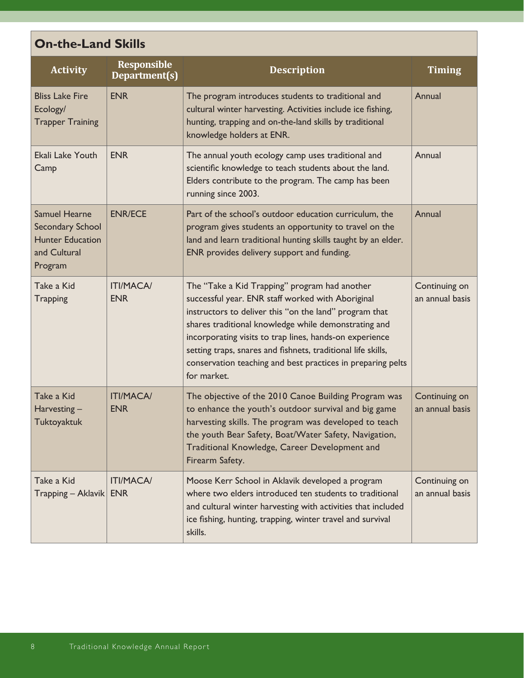| <b>On-the-Land Skills</b>                                                                             |                                     |                                                                                                                                                                                                                                                                                                                                                                                                                               |                                  |  |
|-------------------------------------------------------------------------------------------------------|-------------------------------------|-------------------------------------------------------------------------------------------------------------------------------------------------------------------------------------------------------------------------------------------------------------------------------------------------------------------------------------------------------------------------------------------------------------------------------|----------------------------------|--|
| <b>Activity</b>                                                                                       | <b>Responsible</b><br>Department(s) | <b>Description</b>                                                                                                                                                                                                                                                                                                                                                                                                            | <b>Timing</b>                    |  |
| <b>Bliss Lake Fire</b><br>Ecology/<br><b>Trapper Training</b>                                         | <b>ENR</b>                          | The program introduces students to traditional and<br>cultural winter harvesting. Activities include ice fishing,<br>hunting, trapping and on-the-land skills by traditional<br>knowledge holders at ENR.                                                                                                                                                                                                                     | Annual                           |  |
| Ekali Lake Youth<br>Camp                                                                              | <b>ENR</b>                          | The annual youth ecology camp uses traditional and<br>scientific knowledge to teach students about the land.<br>Elders contribute to the program. The camp has been<br>running since 2003.                                                                                                                                                                                                                                    | Annual                           |  |
| <b>Samuel Hearne</b><br><b>Secondary School</b><br><b>Hunter Education</b><br>and Cultural<br>Program | <b>ENR/ECE</b>                      | Part of the school's outdoor education curriculum, the<br>program gives students an opportunity to travel on the<br>land and learn traditional hunting skills taught by an elder.<br>ENR provides delivery support and funding.                                                                                                                                                                                               | Annual                           |  |
| Take a Kid<br><b>Trapping</b>                                                                         | <b>ITI/MACA/</b><br><b>ENR</b>      | The "Take a Kid Trapping" program had another<br>successful year. ENR staff worked with Aboriginal<br>instructors to deliver this "on the land" program that<br>shares traditional knowledge while demonstrating and<br>incorporating visits to trap lines, hands-on experience<br>setting traps, snares and fishnets, traditional life skills,<br>conservation teaching and best practices in preparing pelts<br>for market. | Continuing on<br>an annual basis |  |
| Take a Kid<br>Harvesting-<br><b>Tuktoyaktuk</b>                                                       | <b>ITI/MACA/</b><br><b>ENR</b>      | The objective of the 2010 Canoe Building Program was<br>to enhance the youth's outdoor survival and big game<br>harvesting skills. The program was developed to teach<br>the youth Bear Safety, Boat/Water Safety, Navigation,<br>Traditional Knowledge, Career Development and<br>Firearm Safety.                                                                                                                            | Continuing on<br>an annual basis |  |
| Take a Kid<br>$Trapping - Aklavik$                                                                    | <b>ITI/MACA/</b><br><b>ENR</b>      | Moose Kerr School in Aklavik developed a program<br>where two elders introduced ten students to traditional<br>and cultural winter harvesting with activities that included<br>ice fishing, hunting, trapping, winter travel and survival<br>skills.                                                                                                                                                                          | Continuing on<br>an annual basis |  |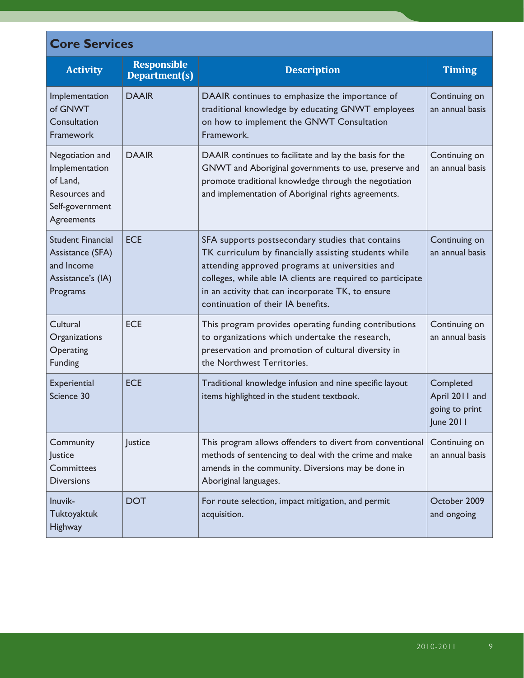| <b>Core Services</b>                                                                            |                                     |                                                                                                                                                                                                                                                                                                                        |                                                                   |  |
|-------------------------------------------------------------------------------------------------|-------------------------------------|------------------------------------------------------------------------------------------------------------------------------------------------------------------------------------------------------------------------------------------------------------------------------------------------------------------------|-------------------------------------------------------------------|--|
| <b>Activity</b>                                                                                 | <b>Responsible</b><br>Department(s) | <b>Description</b>                                                                                                                                                                                                                                                                                                     | <b>Timing</b>                                                     |  |
| Implementation<br>of GNWT<br>Consultation<br>Framework                                          | <b>DAAIR</b>                        | DAAIR continues to emphasize the importance of<br>traditional knowledge by educating GNWT employees<br>on how to implement the GNWT Consultation<br>Framework.                                                                                                                                                         | Continuing on<br>an annual basis                                  |  |
| Negotiation and<br>Implementation<br>of Land,<br>Resources and<br>Self-government<br>Agreements | <b>DAAIR</b>                        | DAAIR continues to facilitate and lay the basis for the<br>GNWT and Aboriginal governments to use, preserve and<br>promote traditional knowledge through the negotiation<br>and implementation of Aboriginal rights agreements.                                                                                        | Continuing on<br>an annual basis                                  |  |
| <b>Student Financial</b><br>Assistance (SFA)<br>and Income<br>Assistance's (IA)<br>Programs     | <b>ECE</b>                          | SFA supports postsecondary studies that contains<br>TK curriculum by financially assisting students while<br>attending approved programs at universities and<br>colleges, while able IA clients are required to participate<br>in an activity that can incorporate TK, to ensure<br>continuation of their IA benefits. | Continuing on<br>an annual basis                                  |  |
| Cultural<br>Organizations<br>Operating<br>Funding                                               | <b>ECE</b>                          | This program provides operating funding contributions<br>to organizations which undertake the research,<br>preservation and promotion of cultural diversity in<br>the Northwest Territories.                                                                                                                           | Continuing on<br>an annual basis                                  |  |
| Experiential<br>Science 30                                                                      | <b>ECE</b>                          | Traditional knowledge infusion and nine specific layout<br>items highlighted in the student textbook.                                                                                                                                                                                                                  | Completed<br>April 2011 and<br>going to print<br><b>June 2011</b> |  |
| Community<br>Justice<br>Committees<br><b>Diversions</b>                                         | Justice                             | This program allows offenders to divert from conventional<br>methods of sentencing to deal with the crime and make<br>amends in the community. Diversions may be done in<br>Aboriginal languages.                                                                                                                      | Continuing on<br>an annual basis                                  |  |
| Inuvik-<br><b>Tuktoyaktuk</b><br><b>Highway</b>                                                 | <b>DOT</b>                          | For route selection, impact mitigation, and permit<br>acquisition.                                                                                                                                                                                                                                                     | October 2009<br>and ongoing                                       |  |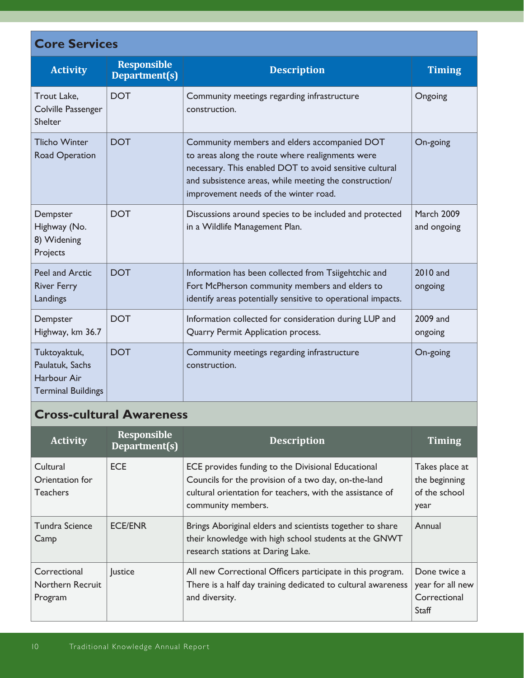| <b>Core Services</b>                                                        |                                     |                                                                                                                                                                                                                                                                |                                  |  |
|-----------------------------------------------------------------------------|-------------------------------------|----------------------------------------------------------------------------------------------------------------------------------------------------------------------------------------------------------------------------------------------------------------|----------------------------------|--|
| <b>Activity</b>                                                             | <b>Responsible</b><br>Department(s) | <b>Description</b>                                                                                                                                                                                                                                             | <b>Timing</b>                    |  |
| Trout Lake,<br>Colville Passenger<br>Shelter                                | <b>DOT</b>                          | Community meetings regarding infrastructure<br>construction.                                                                                                                                                                                                   | Ongoing                          |  |
| <b>Tlicho Winter</b><br>Road Operation                                      | <b>DOT</b>                          | Community members and elders accompanied DOT<br>to areas along the route where realignments were<br>necessary. This enabled DOT to avoid sensitive cultural<br>and subsistence areas, while meeting the construction/<br>improvement needs of the winter road. | On-going                         |  |
| Dempster<br>Highway (No.<br>8) Widening<br>Projects                         | <b>DOT</b>                          | Discussions around species to be included and protected<br>in a Wildlife Management Plan.                                                                                                                                                                      | <b>March 2009</b><br>and ongoing |  |
| <b>Peel and Arctic</b><br><b>River Ferry</b><br>Landings                    | <b>DOT</b>                          | Information has been collected from Tsiigehtchic and<br>Fort McPherson community members and elders to<br>identify areas potentially sensitive to operational impacts.                                                                                         | 2010 and<br>ongoing              |  |
| Dempster<br>Highway, km 36.7                                                | <b>DOT</b>                          | Information collected for consideration during LUP and<br>Quarry Permit Application process.                                                                                                                                                                   | 2009 and<br>ongoing              |  |
| Tuktoyaktuk,<br>Paulatuk, Sachs<br>Harbour Air<br><b>Terminal Buildings</b> | <b>DOT</b>                          | Community meetings regarding infrastructure<br>construction.                                                                                                                                                                                                   | On-going                         |  |

## **Cross-cultural Awareness**

| <b>Activity</b>                                | <b>Responsible</b><br>Department(s) | <b>Description</b>                                                                                                                                                                            | <b>Timing</b>                                             |
|------------------------------------------------|-------------------------------------|-----------------------------------------------------------------------------------------------------------------------------------------------------------------------------------------------|-----------------------------------------------------------|
| Cultural<br>Orientation for<br><b>Teachers</b> | <b>ECE</b>                          | ECE provides funding to the Divisional Educational<br>Councils for the provision of a two day, on-the-land<br>cultural orientation for teachers, with the assistance of<br>community members. | Takes place at<br>the beginning<br>of the school<br>year  |
| Tundra Science<br>Camp                         | <b>ECE/ENR</b>                      | Brings Aboriginal elders and scientists together to share<br>their knowledge with high school students at the GNWT<br>research stations at Daring Lake.                                       | Annual                                                    |
| Correctional<br>Northern Recruit<br>Program    | Justice                             | All new Correctional Officers participate in this program.<br>There is a half day training dedicated to cultural awareness<br>and diversity.                                                  | Done twice a<br>year for all new<br>Correctional<br>Staff |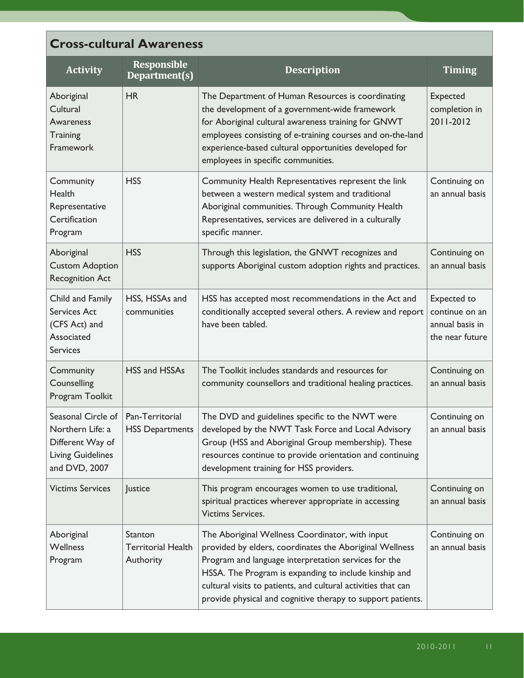| <b>Cross-cultural Awareness</b>                                                                                           |                                                   |                                                                                                                                                                                                                                                                                                                                                             |                                                                     |
|---------------------------------------------------------------------------------------------------------------------------|---------------------------------------------------|-------------------------------------------------------------------------------------------------------------------------------------------------------------------------------------------------------------------------------------------------------------------------------------------------------------------------------------------------------------|---------------------------------------------------------------------|
| <b>Activity</b>                                                                                                           | <b>Responsible</b><br>Department(s)               | <b>Description</b>                                                                                                                                                                                                                                                                                                                                          | Timing                                                              |
| Aboriginal<br>Cultural<br>Awareness<br>Training<br>Framework                                                              | HR                                                | The Department of Human Resources is coordinating<br>the development of a government-wide framework<br>for Aboriginal cultural awareness training for GNWT<br>employees consisting of e-training courses and on-the-land<br>experience-based cultural opportunities developed for<br>employees in specific communities.                                     | <b>Expected</b><br>completion in<br>2011-2012                       |
| Community<br>Health<br>Representative<br>Certification<br>Program                                                         | <b>HSS</b>                                        | Community Health Representatives represent the link<br>between a western medical system and traditional<br>Aboriginal communities. Through Community Health<br>Representatives, services are delivered in a culturally<br>specific manner.                                                                                                                  | Continuing on<br>an annual basis                                    |
| Aboriginal<br><b>Custom Adoption</b><br><b>Recognition Act</b>                                                            | <b>HSS</b>                                        | Through this legislation, the GNWT recognizes and<br>supports Aboriginal custom adoption rights and practices.                                                                                                                                                                                                                                              | Continuing on<br>an annual basis                                    |
| Child and Family<br><b>Services Act</b><br>(CFS Act) and<br>Associated<br><b>Services</b>                                 | HSS, HSSAs and<br>communities                     | HSS has accepted most recommendations in the Act and<br>conditionally accepted several others. A review and report<br>have been tabled.                                                                                                                                                                                                                     | Expected to<br>continue on an<br>annual basis in<br>the near future |
| Community<br>Counselling<br>Program Toolkit                                                                               | HSS and HSSAs                                     | The Toolkit includes standards and resources for<br>community counsellors and traditional healing practices.                                                                                                                                                                                                                                                | Continuing on<br>an annual basis                                    |
| Seasonal Circle of   Pan-Territorial<br>Northern Life: a<br>Different Way of<br><b>Living Guidelines</b><br>and DVD, 2007 | <b>HSS Departments</b>                            | The DVD and guidelines specific to the NWT were<br>developed by the NWT Task Force and Local Advisory<br>Group (HSS and Aboriginal Group membership). These<br>resources continue to provide orientation and continuing<br>development training for HSS providers.                                                                                          | Continuing on<br>an annual basis                                    |
| <b>Victims Services</b>                                                                                                   | Justice                                           | This program encourages women to use traditional,<br>spiritual practices wherever appropriate in accessing<br><b>Victims Services.</b>                                                                                                                                                                                                                      | Continuing on<br>an annual basis                                    |
| Aboriginal<br><b>Wellness</b><br>Program                                                                                  | Stanton<br><b>Territorial Health</b><br>Authority | The Aboriginal Wellness Coordinator, with input<br>provided by elders, coordinates the Aboriginal Wellness<br>Program and language interpretation services for the<br>HSSA. The Program is expanding to include kinship and<br>cultural visits to patients, and cultural activities that can<br>provide physical and cognitive therapy to support patients. | Continuing on<br>an annual basis                                    |